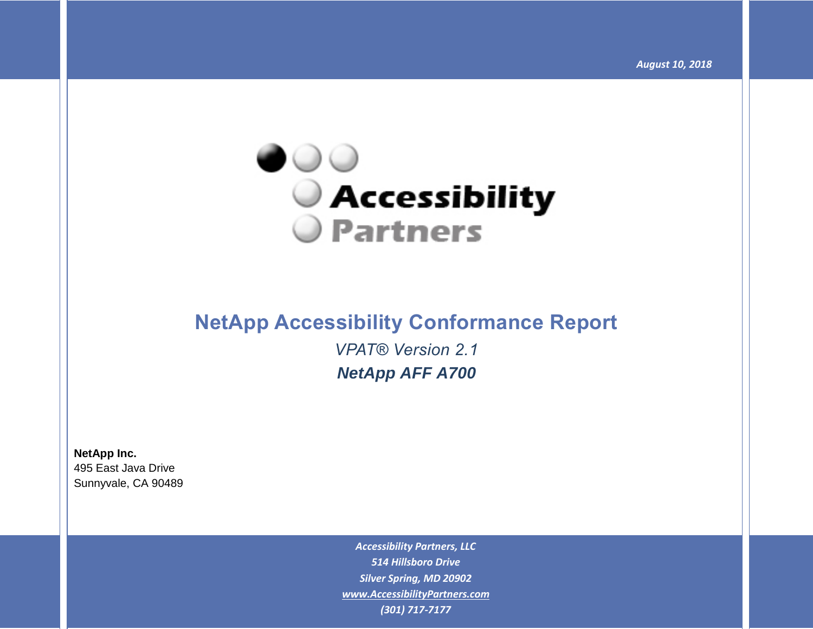

# **NetApp Accessibility Conformance Report** *VPAT® Version 2.1 NetApp AFF A700*

**NetApp Inc.** 495 East Java Drive Sunnyvale, CA 90489

> *Accessibility Partners, LLC 514 Hillsboro Drive Silver Spring, MD 20902 [www.AccessibilityPartners.com](http://www.accessibilitypartners.com/) (301) 717-7177*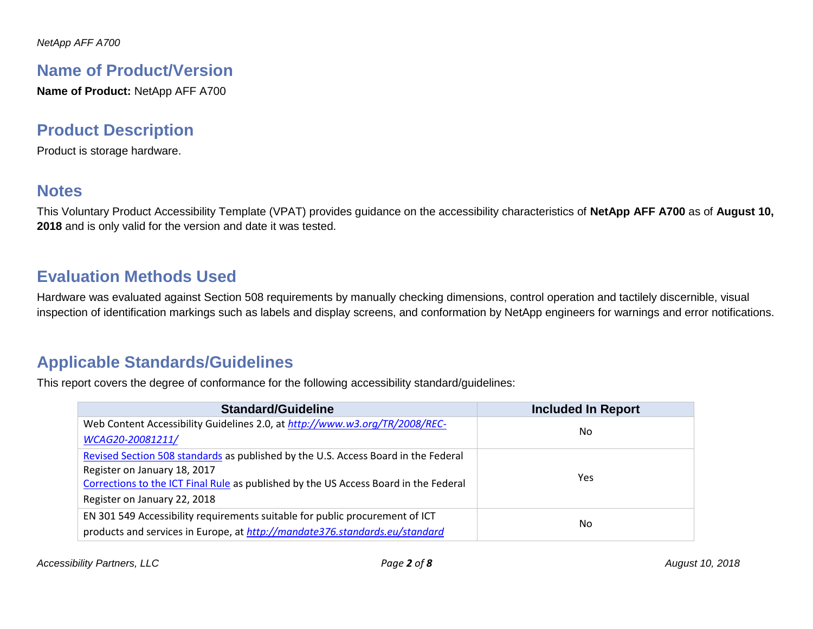*NetApp AFF A700*

## **Name of Product/Version**

**Name of Product:** NetApp AFF A700

## **Product Description**

Product is storage hardware.

### **Notes**

This Voluntary Product Accessibility Template (VPAT) provides guidance on the accessibility characteristics of **NetApp AFF A700** as of **August 10, 2018** and is only valid for the version and date it was tested.

## **Evaluation Methods Used**

Hardware was evaluated against Section 508 requirements by manually checking dimensions, control operation and tactilely discernible, visual inspection of identification markings such as labels and display screens, and conformation by NetApp engineers for warnings and error notifications.

## **Applicable Standards/Guidelines**

This report covers the degree of conformance for the following accessibility standard/guidelines:

| <b>Standard/Guideline</b>                                                            | <b>Included In Report</b> |  |
|--------------------------------------------------------------------------------------|---------------------------|--|
| Web Content Accessibility Guidelines 2.0, at http://www.w3.org/TR/2008/REC-          | No.                       |  |
| WCAG20-20081211/                                                                     |                           |  |
| Revised Section 508 standards as published by the U.S. Access Board in the Federal   |                           |  |
| Register on January 18, 2017                                                         |                           |  |
| Corrections to the ICT Final Rule as published by the US Access Board in the Federal | Yes.                      |  |
| Register on January 22, 2018                                                         |                           |  |
| EN 301 549 Accessibility requirements suitable for public procurement of ICT         |                           |  |
| products and services in Europe, at http://mandate376.standards.eu/standard          | No                        |  |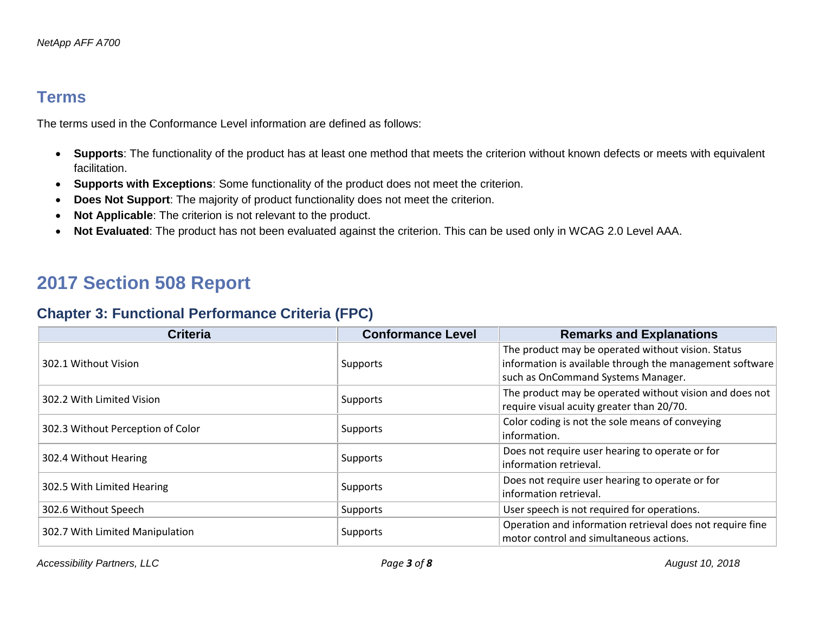## **Terms**

The terms used in the Conformance Level information are defined as follows:

- **Supports**: The functionality of the product has at least one method that meets the criterion without known defects or meets with equivalent facilitation.
- **Supports with Exceptions**: Some functionality of the product does not meet the criterion.
- **Does Not Support**: The majority of product functionality does not meet the criterion.
- **Not Applicable**: The criterion is not relevant to the product.
- **Not Evaluated**: The product has not been evaluated against the criterion. This can be used only in WCAG 2.0 Level AAA.

## **2017 Section 508 Report**

#### **Chapter 3: Functional Performance Criteria (FPC)**

| <b>Criteria</b>                   | <b>Conformance Level</b> | <b>Remarks and Explanations</b>                                                                                                                      |
|-----------------------------------|--------------------------|------------------------------------------------------------------------------------------------------------------------------------------------------|
| 302.1 Without Vision              | Supports                 | The product may be operated without vision. Status<br>information is available through the management software<br>such as OnCommand Systems Manager. |
| 302.2 With Limited Vision         | <b>Supports</b>          | The product may be operated without vision and does not<br>require visual acuity greater than 20/70.                                                 |
| 302.3 Without Perception of Color | Supports                 | Color coding is not the sole means of conveying<br>information.                                                                                      |
| 302.4 Without Hearing             | Supports                 | Does not require user hearing to operate or for<br>information retrieval.                                                                            |
| 302.5 With Limited Hearing        | Supports                 | Does not require user hearing to operate or for<br>information retrieval.                                                                            |
| 302.6 Without Speech              | Supports                 | User speech is not required for operations.                                                                                                          |
| 302.7 With Limited Manipulation   | Supports                 | Operation and information retrieval does not require fine<br>motor control and simultaneous actions.                                                 |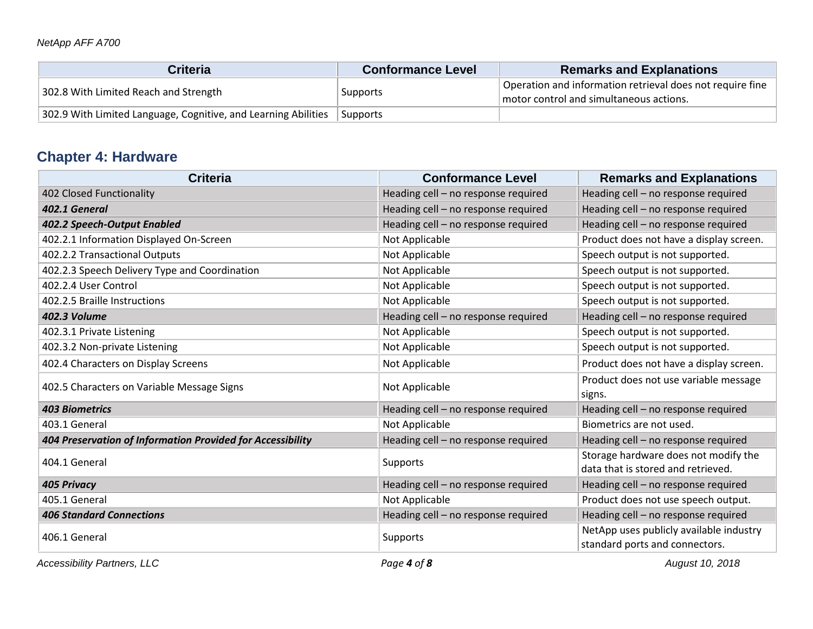| Criteria                                                       | <b>Conformance Level</b> | <b>Remarks and Explanations</b>                                                                      |
|----------------------------------------------------------------|--------------------------|------------------------------------------------------------------------------------------------------|
| 302.8 With Limited Reach and Strength                          | Supports                 | Operation and information retrieval does not require fine<br>motor control and simultaneous actions. |
| 302.9 With Limited Language, Cognitive, and Learning Abilities | ' Supports               |                                                                                                      |

## **Chapter 4: Hardware**

| <b>Criteria</b>                                            | <b>Conformance Level</b>            | <b>Remarks and Explanations</b>                                            |
|------------------------------------------------------------|-------------------------------------|----------------------------------------------------------------------------|
| 402 Closed Functionality                                   | Heading cell - no response required | Heading cell - no response required                                        |
| 402.1 General                                              | Heading cell - no response required | Heading cell - no response required                                        |
| 402.2 Speech-Output Enabled                                | Heading cell - no response required | Heading cell - no response required                                        |
| 402.2.1 Information Displayed On-Screen                    | Not Applicable                      | Product does not have a display screen.                                    |
| 402.2.2 Transactional Outputs                              | Not Applicable                      | Speech output is not supported.                                            |
| 402.2.3 Speech Delivery Type and Coordination              | Not Applicable                      | Speech output is not supported.                                            |
| 402.2.4 User Control                                       | Not Applicable                      | Speech output is not supported.                                            |
| 402.2.5 Braille Instructions                               | Not Applicable                      | Speech output is not supported.                                            |
| <b>402.3 Volume</b>                                        | Heading cell - no response required | Heading cell - no response required                                        |
| 402.3.1 Private Listening                                  | Not Applicable                      | Speech output is not supported.                                            |
| 402.3.2 Non-private Listening                              | Not Applicable                      | Speech output is not supported.                                            |
| 402.4 Characters on Display Screens                        | Not Applicable                      | Product does not have a display screen.                                    |
| 402.5 Characters on Variable Message Signs                 | Not Applicable                      | Product does not use variable message<br>signs.                            |
| <b>403 Biometrics</b>                                      | Heading cell - no response required | Heading cell - no response required                                        |
| 403.1 General                                              | Not Applicable                      | Biometrics are not used.                                                   |
| 404 Preservation of Information Provided for Accessibility | Heading cell - no response required | Heading cell - no response required                                        |
| 404.1 General                                              | Supports                            | Storage hardware does not modify the<br>data that is stored and retrieved. |
| <b>405 Privacy</b>                                         | Heading cell - no response required | Heading cell - no response required                                        |
| 405.1 General                                              | Not Applicable                      | Product does not use speech output.                                        |
| <b>406 Standard Connections</b>                            | Heading cell - no response required | Heading cell - no response required                                        |
| 406.1 General                                              | Supports                            | NetApp uses publicly available industry<br>standard ports and connectors.  |

*Accessibility Partners, LLC Page 4 of 8 August 10, 2018*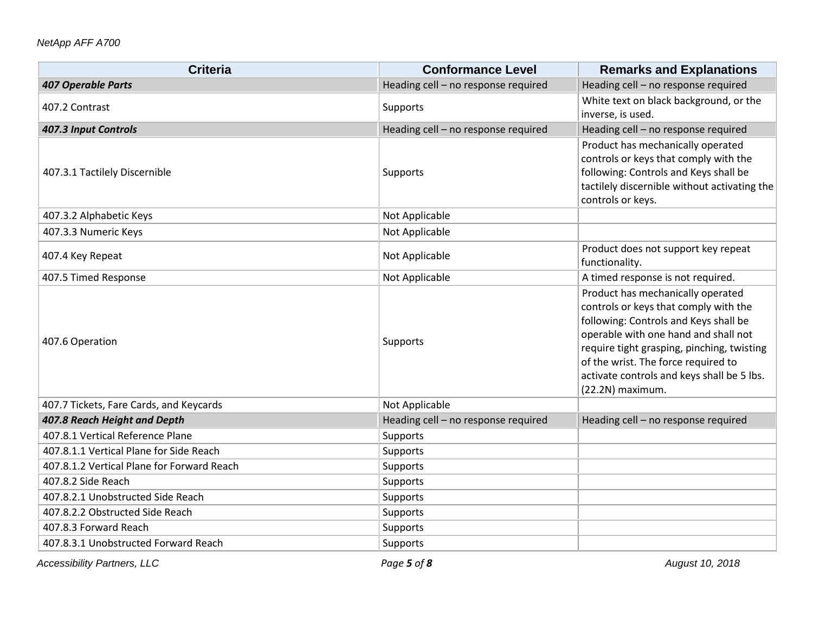| <b>Criteria</b>                            | <b>Conformance Level</b>            | <b>Remarks and Explanations</b>                                                                                                                                                                                                                                                                                    |
|--------------------------------------------|-------------------------------------|--------------------------------------------------------------------------------------------------------------------------------------------------------------------------------------------------------------------------------------------------------------------------------------------------------------------|
| <b>407 Operable Parts</b>                  | Heading cell - no response required | Heading cell - no response required                                                                                                                                                                                                                                                                                |
| 407.2 Contrast                             | Supports                            | White text on black background, or the<br>inverse, is used.                                                                                                                                                                                                                                                        |
| 407.3 Input Controls                       | Heading cell - no response required | Heading cell - no response required                                                                                                                                                                                                                                                                                |
| 407.3.1 Tactilely Discernible              | Supports                            | Product has mechanically operated<br>controls or keys that comply with the<br>following: Controls and Keys shall be<br>tactilely discernible without activating the<br>controls or keys.                                                                                                                           |
| 407.3.2 Alphabetic Keys                    | Not Applicable                      |                                                                                                                                                                                                                                                                                                                    |
| 407.3.3 Numeric Keys                       | Not Applicable                      |                                                                                                                                                                                                                                                                                                                    |
| 407.4 Key Repeat                           | Not Applicable                      | Product does not support key repeat<br>functionality.                                                                                                                                                                                                                                                              |
| 407.5 Timed Response                       | Not Applicable                      | A timed response is not required.                                                                                                                                                                                                                                                                                  |
| 407.6 Operation                            | Supports                            | Product has mechanically operated<br>controls or keys that comply with the<br>following: Controls and Keys shall be<br>operable with one hand and shall not<br>require tight grasping, pinching, twisting<br>of the wrist. The force required to<br>activate controls and keys shall be 5 lbs.<br>(22.2N) maximum. |
| 407.7 Tickets, Fare Cards, and Keycards    | Not Applicable                      |                                                                                                                                                                                                                                                                                                                    |
| 407.8 Reach Height and Depth               | Heading cell - no response required | Heading cell - no response required                                                                                                                                                                                                                                                                                |
| 407.8.1 Vertical Reference Plane           | Supports                            |                                                                                                                                                                                                                                                                                                                    |
| 407.8.1.1 Vertical Plane for Side Reach    | Supports                            |                                                                                                                                                                                                                                                                                                                    |
| 407.8.1.2 Vertical Plane for Forward Reach | Supports                            |                                                                                                                                                                                                                                                                                                                    |
| 407.8.2 Side Reach                         | Supports                            |                                                                                                                                                                                                                                                                                                                    |
| 407.8.2.1 Unobstructed Side Reach          | Supports                            |                                                                                                                                                                                                                                                                                                                    |
| 407.8.2.2 Obstructed Side Reach            | Supports                            |                                                                                                                                                                                                                                                                                                                    |
| 407.8.3 Forward Reach                      | Supports                            |                                                                                                                                                                                                                                                                                                                    |
| 407.8.3.1 Unobstructed Forward Reach       | Supports                            |                                                                                                                                                                                                                                                                                                                    |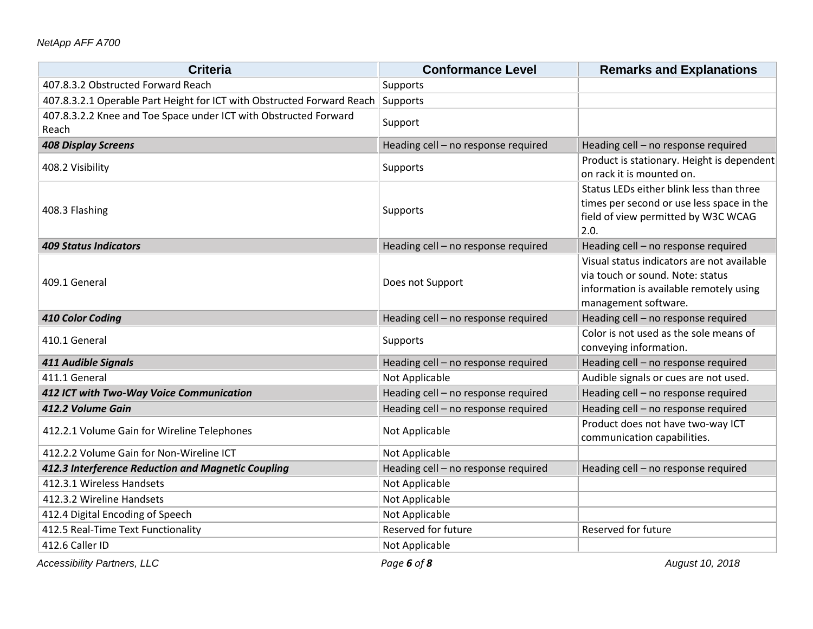#### *NetApp AFF A700*

| <b>Criteria</b>                                                           | <b>Conformance Level</b>            | <b>Remarks and Explanations</b>                                                                                                                   |
|---------------------------------------------------------------------------|-------------------------------------|---------------------------------------------------------------------------------------------------------------------------------------------------|
| 407.8.3.2 Obstructed Forward Reach                                        | Supports                            |                                                                                                                                                   |
| 407.8.3.2.1 Operable Part Height for ICT with Obstructed Forward Reach    | Supports                            |                                                                                                                                                   |
| 407.8.3.2.2 Knee and Toe Space under ICT with Obstructed Forward<br>Reach | Support                             |                                                                                                                                                   |
| <b>408 Display Screens</b>                                                | Heading cell - no response required | Heading cell - no response required                                                                                                               |
| 408.2 Visibility                                                          | Supports                            | Product is stationary. Height is dependent<br>on rack it is mounted on.                                                                           |
| 408.3 Flashing                                                            | Supports                            | Status LEDs either blink less than three<br>times per second or use less space in the<br>field of view permitted by W3C WCAG<br>2.0.              |
| <b>409 Status Indicators</b>                                              | Heading cell - no response required | Heading cell - no response required                                                                                                               |
| 409.1 General                                                             | Does not Support                    | Visual status indicators are not available<br>via touch or sound. Note: status<br>information is available remotely using<br>management software. |
| 410 Color Coding                                                          | Heading cell - no response required | Heading cell - no response required                                                                                                               |
| 410.1 General                                                             | Supports                            | Color is not used as the sole means of<br>conveying information.                                                                                  |
| 411 Audible Signals                                                       | Heading cell - no response required | Heading cell - no response required                                                                                                               |
| 411.1 General                                                             | Not Applicable                      | Audible signals or cues are not used.                                                                                                             |
| 412 ICT with Two-Way Voice Communication                                  | Heading cell - no response required | Heading cell - no response required                                                                                                               |
| 412.2 Volume Gain                                                         | Heading cell - no response required | Heading cell - no response required                                                                                                               |
| 412.2.1 Volume Gain for Wireline Telephones                               | Not Applicable                      | Product does not have two-way ICT<br>communication capabilities.                                                                                  |
| 412.2.2 Volume Gain for Non-Wireline ICT                                  | Not Applicable                      |                                                                                                                                                   |
| 412.3 Interference Reduction and Magnetic Coupling                        | Heading cell - no response required | Heading cell - no response required                                                                                                               |
| 412.3.1 Wireless Handsets                                                 | Not Applicable                      |                                                                                                                                                   |
| 412.3.2 Wireline Handsets                                                 | Not Applicable                      |                                                                                                                                                   |
| 412.4 Digital Encoding of Speech                                          | Not Applicable                      |                                                                                                                                                   |
| 412.5 Real-Time Text Functionality                                        | Reserved for future                 | Reserved for future                                                                                                                               |
| 412.6 Caller ID                                                           | Not Applicable                      |                                                                                                                                                   |

*Accessibility Partners, LLC Page 6 of 8 August 10, 2018*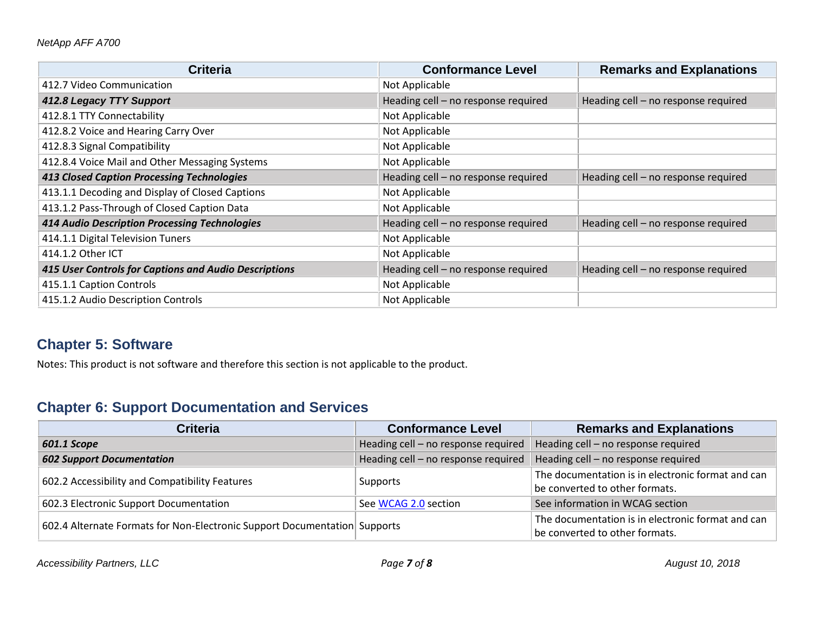| <b>Criteria</b>                                       | <b>Conformance Level</b>            | <b>Remarks and Explanations</b>     |
|-------------------------------------------------------|-------------------------------------|-------------------------------------|
| 412.7 Video Communication                             | Not Applicable                      |                                     |
| 412.8 Legacy TTY Support                              | Heading cell - no response required | Heading cell - no response required |
| 412.8.1 TTY Connectability                            | Not Applicable                      |                                     |
| 412.8.2 Voice and Hearing Carry Over                  | Not Applicable                      |                                     |
| 412.8.3 Signal Compatibility                          | Not Applicable                      |                                     |
| 412.8.4 Voice Mail and Other Messaging Systems        | Not Applicable                      |                                     |
| <b>413 Closed Caption Processing Technologies</b>     | Heading cell - no response required | Heading cell - no response required |
| 413.1.1 Decoding and Display of Closed Captions       | Not Applicable                      |                                     |
| 413.1.2 Pass-Through of Closed Caption Data           | Not Applicable                      |                                     |
| <b>414 Audio Description Processing Technologies</b>  | Heading cell - no response required | Heading cell - no response required |
| 414.1.1 Digital Television Tuners                     | Not Applicable                      |                                     |
| 414.1.2 Other ICT                                     | Not Applicable                      |                                     |
| 415 User Controls for Captions and Audio Descriptions | Heading cell - no response required | Heading cell - no response required |
| 415.1.1 Caption Controls                              | Not Applicable                      |                                     |
| 415.1.2 Audio Description Controls                    | Not Applicable                      |                                     |

## **Chapter 5: Software**

Notes: This product is not software and therefore this section is not applicable to the product.

## **Chapter 6: Support Documentation and Services**

| <b>Criteria</b>                                                           | <b>Conformance Level</b>            | <b>Remarks and Explanations</b>                                                     |
|---------------------------------------------------------------------------|-------------------------------------|-------------------------------------------------------------------------------------|
| 601.1 Scope                                                               | Heading cell - no response required | Heading cell - no response required                                                 |
| <b>602 Support Documentation</b>                                          | Heading cell - no response required | Heading cell - no response required                                                 |
| 602.2 Accessibility and Compatibility Features                            | Supports                            | The documentation is in electronic format and can<br>be converted to other formats. |
| 602.3 Electronic Support Documentation                                    | See WCAG 2.0 section                | See information in WCAG section                                                     |
| 602.4 Alternate Formats for Non-Electronic Support Documentation Supports |                                     | The documentation is in electronic format and can<br>be converted to other formats. |